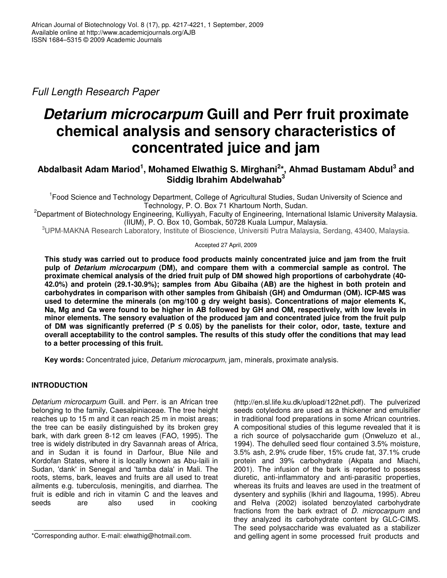*Full Length Research Paper*

# *Detarium microcarpum* **Guill and Perr fruit proximate chemical analysis and sensory characteristics of concentrated juice and jam**

# **Abdalbasit Adam Mariod 1 , Mohamed Elwathig S. Mirghani 2 \*, Ahmad Bustamam Abdul 3 and Siddig Ibrahim Abdelwahab 3**

<sup>1</sup> Food Science and Technology Department, College of Agricultural Studies, Sudan University of Science and Technology, P. O. Box 71 Khartoum North, Sudan.

<sup>2</sup>Department of Biotechnology Engineering, Kulliyyah, Faculty of Engineering, International Islamic University Malaysia. (IIUM), P. O. Box 10, Gombak, 50728 Kuala Lumpur, Malaysia.

<sup>3</sup>UPM-MAKNA Research Laboratory, Institute of Bioscience, Universiti Putra Malaysia, Serdang, 43400, Malaysia.

# Accepted 27 April, 2009

**This study was carried out to produce food products mainly concentrated juice and jam from the fruit pulp of** *Detarium microcarpum* **(DM), and compare them with a commercial sample as control. The proximate chemical analysis of the dried fruit pulp of DM showed high proportions of carbohydrate (40- 42.0%) and protein (29.1-30.9%); samples from Abu Gibaiha (AB) are the highest in both protein and carbohydrates in comparison with other samples from Ghibaish (GH) and Omdurman (OM). ICP-MS was used to determine the minerals (on mg/100 g dry weight basis). Concentrations of major elements K,** Na, Mg and Ca were found to be higher in AB followed by GH and OM, respectively, with low levels in **minor elements. The sensory evaluation of the produced jam and concentrated juice from the fruit pulp of** DM was significantly preferred ( $P \le 0.05$ ) by the panelists for their color, odor, taste, texture and overall acceptability to the control samples. The results of this study offer the conditions that may lead **to a better processing of this fruit.**

**Key words:** Concentrated juice, *Detarium microcarpum*, jam, minerals, proximate analysis.

# **INTRODUCTION**

*Detarium microcarpum* Guill. and Perr. is an African tree belonging to the family, Caesalpiniaceae. The tree height reaches up to 15 m and it can reach 25 m in moist areas; the tree can be easily distinguished by its broken grey bark, with dark green 8-12 cm leaves (FAO, 1995). The tree is widely distributed in dry Savannah areas of Africa, and in Sudan it is found in Darfour, Blue Nile and Kordofan States, where it is locally known as Abu-laili in Sudan, 'dank' in Senegal and 'tamba dala' in Mali. The roots, stems, bark, leaves and fruits are all used to treat ailments e.g. tuberculosis, meningitis, and diarrhea. The fruit is edible and rich in vitamin C and the leaves and seeds are also used in cooking

(http://en.sl.life.ku.dk/upload/122net.pdf). The pulverized seeds cotyledons are used as a thickener and emulsifier in traditional food preparations in some African countries. A compositional studies of this legume revealed that it is a rich source of polysaccharide gum (Onweluzo et al., 1994). The dehulled seed flour contained 3.5% moisture, 3.5% ash, 2.9% crude fiber, 15% crude fat, 37.1% crude protein and 39% carbohydrate (Akpata and Miachi, 2001). The infusion of the bark is reported to possess diuretic, anti-inflammatory and anti-parasitic properties, whereas its fruits and leaves are used in the treatment of dysentery and syphilis (Ikhiri and Ilagouma, 1995). Abreu and Relva (2002) isolated benzoylated carbohydrate fractions from the bark extract of *D. microcarpum* and they analyzed its carbohydrate content by GLC-CIMS. The seed polysaccharide was evaluated as a stabilizer and gelling agent in some processed fruit products and

<sup>\*</sup>Corresponding author. E-mail: elwathig@hotmail.com.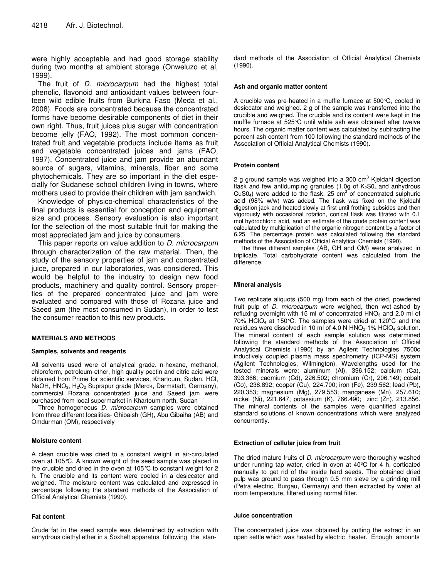were highly acceptable and had good storage stability during two months at ambient storage (Onweluzo et al, 1999).

The fruit of *D. microcarpum* had the highest total phenolic, flavonoid and antioxidant values between fourteen wild edible fruits from Burkina Faso (Meda et al., 2008). Foods are concentrated because the concentrated forms have become desirable components of diet in their own right. Thus, fruit juices plus sugar with concentration become jelly (FAO, 1992). The most common concentrated fruit and vegetable products include items as fruit and vegetable concentrated juices and jams (FAO, 1997). Concentrated juice and jam provide an abundant source of sugars, vitamins, minerals, fiber and some phytochemicals. They are so important in the diet especially for Sudanese school children living in towns, where mothers used to provide their children with jam sandwich.

Knowledge of physico-chemical characteristics of the final products is essential for conception and equipment size and process. Sensory evaluation is also important for the selection of the most suitable fruit for making the most appreciated jam and juice by consumers.

This paper reports on value addition to *D. microcarpum* through characterization of the raw material. Then, the study of the sensory properties of jam and concentrated juice, prepared in our laboratories, was considered. This would be helpful to the industry to design new food products, machinery and quality control. Sensory properties of the prepared concentrated juice and jam were evaluated and compared with those of Rozana juice and Saeed jam (the most consumed in Sudan), in order to test the consumer reaction to this new products.

# **MATERIALS AND METHODS**

#### **Samples, solvents and reagents**

All solvents used were of analytical grade. n-hexane, methanol, chloroform, petroleum-ether, high quality pectin and citric acid were obtained from Prime for scientific services, Khartoum, Sudan. HCl, NaOH,  $HNO<sub>3</sub>$ , H<sub>2</sub>O<sub>2</sub> Suprapur grade (Merck, Darmstadt, Germany), commercial Rozana concentrated juice and Saeed jam were purchased from local supermarket in Khartoum north, Sudan

Three homogeneous *D. microcarpum* samples were obtained from three different localities- Ghibaish (GH), Abu Gibaiha (AB) and Omdurman (OM), respectively

#### **Moisture content**

A clean crucible was dried to a constant weight in air-circulated oven at 105°C. A known weight of the seed sample was placed in the crucible and dried in the oven at 105°C to constant weight for 2 h. The crucible and its content were cooled in a desiccator and weighed. The moisture content was calculated and expressed in percentage following the standard methods of the Association of Official Analytical Chemists (1990).

#### **Fat content**

Crude fat in the seed sample was determined by extraction with anhydrous diethyl ether in a Soxhelt apparatus following the standard methods of the Association of Official Analytical Chemists (1990).

#### **Ash and organic matter content**

A crucible was pre-heated in a muffle furnace at 500°C, cooled in desiccator and weighed. 2 g of the sample was transferred into the crucible and weighed. The crucible and its content were kept in the muffle furnace at 525°C until white ash was obtained after twelve hours. The organic matter content was calculated by subtracting the percent ash content from 100 following the standard methods of the Association of Official Analytical Chemists (1990).

#### **Protein content**

2 g ground sample was weighed into a 300 cm<sup>3</sup> Kjeldahl digestion flask and few antidumping granules (1.0g of  $K_2SO_4$  and anhydrous CuS0<sub>4</sub>) were added to the flask. 25  $\text{cm}^3$  of concentrated sulphuric acid (98% w/w) was added. The flask was fixed on the Kjeldahl digestion jack and heated slowly at first until frothing subsides and then vigorously with occasional rotation, conical flask was titrated with 0.1 mol hydrochloric acid, and an estimate of the crude protein content was calculated by multiplication of the organic nitrogen content by a factor of 6.25. The percentage protein was calculated following the standard methods of the Association of Official Analytical Chemists (1990).

The three different samples (AB, GH and OM) were analyzed in triplicate. Total carbohydrate content was calculated from the difference.

# **Mineral analysis**

Two replicate aliquots (500 mg) from each of the dried, powdered fruit pulp of *D. microcarpum* were weighed, then wet-ashed by refluxing overnight with 15 ml of concentrated HNO<sub>3</sub> and 2.0 ml of 70% HCIO<sub>4</sub> at 150°C. The samples were dried at 120°C and the residues were dissolved in 10 ml of 4.0 N  $HNO<sub>3</sub>$ -1%  $HClO<sub>4</sub>$  solution. The mineral content of each sample solution was determined following the standard methods of the Association of Official Analytical Chemists (1990) by an Agilent Technologies 7500c inductively coupled plasma mass spectrometry (ICP-MS) system (Agilent Technologies, Wilmington). Wavelengths used for the tested minerals were: aluminum (Al), 396.152; calcium (Ca), 393.366; cadmium (Cd), 226.502; chromium (Cr), 206.149; cobalt (Co), 238.892; copper (Cu), 224.700; iron (Fe), 239.562; lead (Pb), 220.353; magnesium (Mg), 279.553; manganese (Mn), 257.610; nickel (Ni), 221.647; potassium (K), 766.490; zinc (Zn), 213.856. The mineral contents of the samples were quantified against standard solutions of known concentrations which were analyzed concurrently.

#### **Extraction of cellular juice from fruit**

The dried mature fruits of *D. microcarpum* were thoroughly washed under running tap water, dried in oven at 40ºC for 4 h, corticated manually to get rid of the inside hard seeds. The obtained dried pulp was ground to pass through 0.5 mm sieve by a grinding mill (Petra electric, Burgau, Germany) and then extracted by water at room temperature, filtered using normal filter.

#### **Juice concentration**

The concentrated juice was obtained by putting the extract in an open kettle which was heated by electric heater. Enough amounts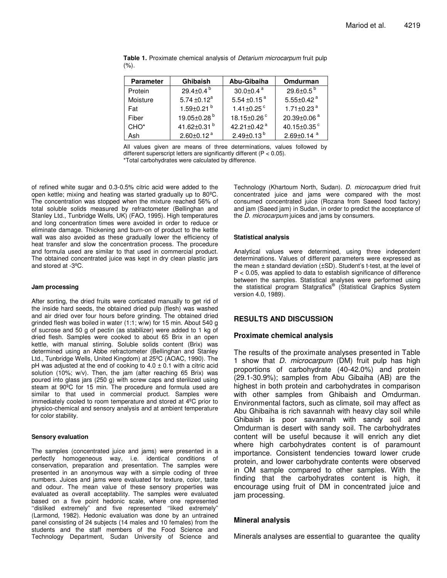| <b>Parameter</b> | <b>Ghibaish</b>              | Abu-Gibaiha                   | Omdurman                     |
|------------------|------------------------------|-------------------------------|------------------------------|
| Protein          | 29.4 $\pm$ 0.4 $^{\circ}$    | $30.0 \pm 0.4$ <sup>a</sup>   | 29.6 $\pm$ 0.5 $^{\circ}$    |
| Moisture         | 5.74 $\pm$ 0.12 <sup>a</sup> | 5.54 $\pm$ 0.15 <sup>a</sup>  | 5.55±0.42 $a$                |
| Fat              | $1.59 \pm 0.21$ <sup>b</sup> | 1.41 $\pm$ 0.25 $\degree$     | 1.71 $\pm$ 0.23 $^{\rm a}$   |
| Fiber            | 19.05±0.28 <sup>b</sup>      | 18.15 $\pm$ 0.26 $\degree$    | 20.39±0.06 <sup>a</sup>      |
| CHO <sup>*</sup> | 41.62 $\pm$ 0.31 $^{\circ}$  | 42.21 $\pm$ 0.42 <sup>a</sup> | 40.15 $\pm$ 0.35 $\degree$   |
| Ash              | $2.60 \pm 0.12$ <sup>a</sup> | $2.49\pm0.13^{b}$             | $2.69 \pm 0.14$ <sup>a</sup> |

**Table 1.** Proximate chemical analysis of *Detarium microcarpum* fruit pulp (%).

All values given are means of three determinations, values followed by different superscript letters are significantly different (P < 0.05).

\*Total carbohydrates were calculated by difference.

of refined white sugar and 0.3-0.5% citric acid were added to the open kettle; mixing and heating was started gradually up to 80ºC. The concentration was stopped when the mixture reached 56% of total soluble solids measured by refractometer (Bellinghan and Stanley Ltd., Tunbridge Wells, UK) (FAO, 1995). High temperatures and long concentration times were avoided in order to reduce or eliminate damage. Thickening and burn-on of product to the kettle wall was also avoided as these gradually lower the efficiency of heat transfer and slow the concentration process. The procedure and formula used are similar to that used in commercial product. The obtained concentrated juice was kept in dry clean plastic jars and stored at -3ºC.

#### **Jam processing**

After sorting, the dried fruits were corticated manually to get rid of the inside hard seeds, the obtained dried pulp (flesh) was washed and air dried over four hours before grinding. The obtained dried grinded flesh was boiled in water (1:1; w/w) for 15 min. About 540 g of sucrose and 50 g of pectin (as stabilizer) were added to 1 kg of dried flesh. Samples were cooked to about 65 Brix in an open kettle, with manual stirring. Soluble solids content (Brix) was determined using an Abbe refractometer (Bellinghan and Stanley Ltd., Tunbridge Wells, United Kingdom) at 25ºC (AOAC, 1990). The pH was adjusted at the end of cooking to  $4.0 \pm 0.1$  with a citric acid solution (10%; w/v). Then, the jam (after reaching 65 Brix) was poured into glass jars (250 g) with screw caps and sterilized using steam at 90ºC for 15 min. The procedure and formula used are similar to that used in commercial product. Samples were immediately cooled to room temperature and stored at 4ºC prior to physico-chemical and sensory analysis and at ambient temperature for color stability.

#### **Sensory evaluation**

The samples (concentrated juice and jams) were presented in a perfectly homogeneous way, i.e. identical conditions of conservation, preparation and presentation. The samples were presented in an anonymous way with a simple coding of three numbers. Juices and jams were evaluated for texture, color, taste and odour. The mean value of these sensory properties was evaluated as overall acceptability. The samples were evaluated based on a five point hedonic scale, where one represented ''disliked extremely" and five represented ''liked extremely" (Larmond, 1982). Hedonic evaluation was done by an untrained panel consisting of 24 subjects (14 males and 10 females) from the students and the staff members of the Food Science and Technology Department, Sudan University of Science and

Technology (Khartoum North, Sudan). *D. microcarpum* dried fruit concentrated juice and jams were compared with the most consumed concentrated juice (Rozana from Saeed food factory) and jam (Saeed jam) in Sudan, in order to predict the acceptance of the *D. microcarpum* juices and jams by consumers.

#### **Statistical analysis**

Analytical values were determined, using three independent determinations. Values of different parameters were expressed as the mean  $\pm$  standard deviation ( $\pm$ SD). Student's t-test, at the level of P < 0.05, was applied to data to establish significance of difference between the samples. Statistical analyses were performed using the statistical program Statgrafics<sup>®</sup> (Statistical Graphics System version 4.0, 1989).

# **RESULTS AND DISCUSSION**

# **Proximate chemical analysis**

The results of the proximate analyses presented in Table 1 show that *D. microcarpum* (DM) fruit pulp has high proportions of carbohydrate (40-42.0%) and protein (29.1-30.9%); samples from Abu Gibaiha (AB) are the highest in both protein and carbohydrates in comparison with other samples from Ghibaish and Omdurman. Environmental factors, such as climate, soil may affect as Abu Ghibaiha is rich savannah with heavy clay soil while Ghibaish is poor savannah with sandy soil and Omdurman is desert with sandy soil. The carbohydrates content will be useful because it will enrich any diet where high carbohydrates content is of paramount importance. Consistent tendencies toward lower crude protein, and lower carbohydrate contents were observed in OM sample compared to other samples. With the finding that the carbohydrates content is high, it encourage using fruit of DM in concentrated juice and jam processing.

# **Mineral analysis**

Minerals analyses are essential to guarantee the quality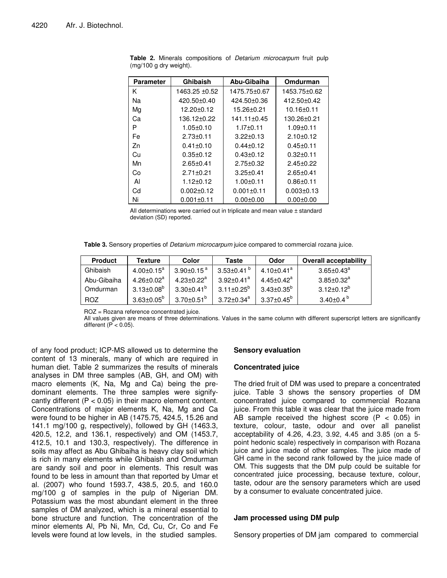| Parameter | Ghibaish         | Abu-Gibaiha      | Omdurman         |
|-----------|------------------|------------------|------------------|
| Κ         | 1463.25 ±0.52    | 1475.75±0.67     | 1453.75±0.62     |
| Nа        | 420.50±0.40      | 424.50±0.36      | 412.50±0.42      |
| Mg        | $12.20 \pm 0.12$ | 15.26±0.21       | $10.16 \pm 0.11$ |
| Cа        | 136.12±0.22      | 141.11±0.45      | 130.26±0.21      |
| Р         | 1.05±0.10        | 1.I7±0.11        | 1.09±0.11        |
| Fe        | $2.73 \pm 0.11$  | $3.22 \pm 0.13$  | $2.10+0.12$      |
| Zn        | $0.41 \pm 0.10$  | $0.44 + 0.12$    | $0.45 \pm 0.11$  |
| Cu        | $0.35 \pm 0.12$  | $0.43 + 0.12$    | $0.32 \pm 0.11$  |
| Mn        | $2.65 \pm 0.41$  | $2.75 \pm 0.32$  | $2.45 \pm 0.22$  |
| Co        | $2.71 \pm 0.21$  | $3.25 \pm 0.41$  | $2.65 \pm 0.41$  |
| ΑI        | $1.12 \pm 0.12$  | $1.00 + 0.11$    | $0.86 + 0.11$    |
| Cd        | $0.002 \pm 0.12$ | $0.001 \pm 0.11$ | $0.003 \pm 0.13$ |
| Ni        | $0.001 \pm 0.11$ | $0.00 + 0.00$    | $0.00 + 0.00$    |

**Table 2.** Minerals compositions of *Detarium microcarpum* fruit pulp (mg/100 g dry weight).

All determinations were carried out in triplicate and mean value ± standard deviation (SD) reported.

**Table 3.** Sensory properties of *Detarium microcarpum* juice compared to commercial rozana juice.

| <b>Product</b> | Texture                    | Color                    | <b>Taste</b>                 | Odor                         | <b>Overall acceptability</b>   |
|----------------|----------------------------|--------------------------|------------------------------|------------------------------|--------------------------------|
| Ghibaish       | $4.00\pm0.15^{\mathrm{a}}$ | $3.90\pm0.15$ $^{\rm a}$ | $3.53 \pm 0.41$ <sup>b</sup> | $4.10 \pm 0.41$ <sup>a</sup> | $3.65 \pm 0.43^\mathrm{a}$     |
| Abu-Gibaiha    | $4.26 + 0.02^{\circ}$      | $4.23 + 0.22^a$          | $3.92 + 0.41$ <sup>a</sup>   | $4.45 \pm 0.42$ <sup>a</sup> | $3.85{\pm}0.32^{\mathrm{a}}$   |
| Omdurman       | $3.13 + 0.08^{b}$          | $3.30 + 0.41^b$          | $3.11 \pm 0.25^{\circ}$      | $3.43{\pm}0.35^{\circ}$      | $3.12 + 0.12^{b}$              |
| <b>ROZ</b>     | $3.63 \pm 0.05^{\circ}$    | $3.70 \pm 0.51^{\circ}$  | $3.72 \pm 0.34^a$            | 3.37±0.45 <sup>b</sup>       | $3.40{\pm}0.4$ $^{\mathrm{b}}$ |

ROZ = Rozana reference concentrated juice.

All values given are means of three determinations. Values in the same column with different superscript letters are significantly different  $(P < 0.05)$ .

of any food product; ICP-MS allowed us to determine the content of 13 minerals, many of which are required in human diet. Table 2 summarizes the results of minerals analyses in DM three samples (AB, GH, and OM) with macro elements (K, Na, Mg and Ca) being the predominant elements. The three samples were signifycantly different  $(P < 0.05)$  in their macro element content. Concentrations of major elements K, Na, Mg and Ca were found to be higher in AB (1475.75, 424.5, 15.26 and 141.1 mg/100 g, respectively), followed by GH (1463.3, 420.5, 12.2, and 136.1, respectively) and OM (1453.7, 412.5, 10.1 and 130.3, respectively). The difference in soils may affect as Abu Ghibaiha is heavy clay soil which is rich in many elements while Ghibaish and Omdurman are sandy soil and poor in elements. This result was found to be less in amount than that reported by Umar et al. (2007) who found 1593.7, 438.5, 20.5, and 160.0 mg/100 g of samples in the pulp of Nigerian DM. Potassium was the most abundant element in the three samples of DM analyzed, which is a mineral essential to bone structure and function. The concentration of the minor elements Al, Pb Ni, Mn, Cd, Cu, Cr, Co and Fe levels were found at low levels, in the studied samples.

# **Sensory evaluation**

#### **Concentrated juice**

The dried fruit of DM was used to prepare a concentrated juice. Table 3 shows the sensory properties of DM concentrated juice compared to commercial Rozana juice. From this table it was clear that the juice made from AB sample received the highest score  $(P < 0.05)$  in texture, colour, taste, odour and over all panelist acceptability of 4.26, 4.23, 3.92, 4.45 and 3.85 (on a 5 point hedonic scale) respectively in comparison with Rozana juice and juice made of other samples. The juice made of GH came in the second rank followed by the juice made of OM. This suggests that the DM pulp could be suitable for concentrated juice processing, because texture, colour, taste, odour are the sensory parameters which are used by a consumer to evaluate concentrated juice.

# **Jam processed using DM pulp**

Sensory properties of DM jam compared to commercial